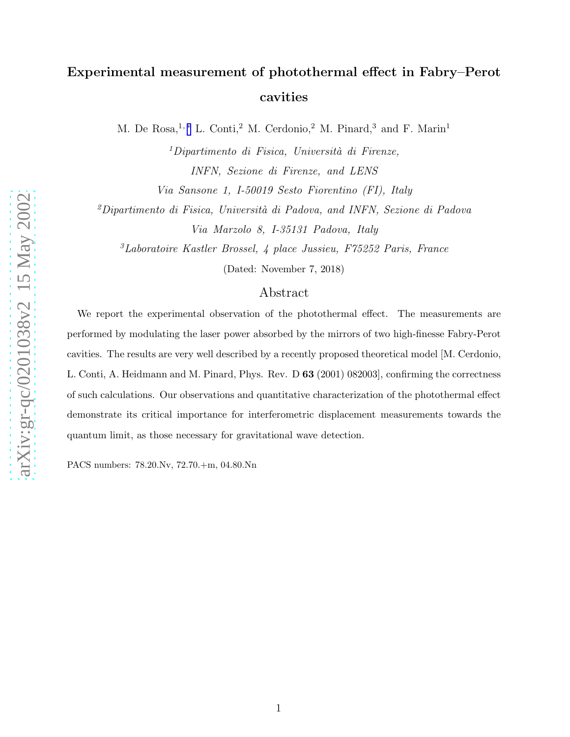## Experimental measurement of photothermal effect in Fabry–Perot cavities

M. De Rosa,<sup>1,\*</sup> L. Conti,<sup>2</sup> M. Cerdonio,<sup>2</sup> M. Pinard,<sup>3</sup> and F. Marin<sup>1</sup>

 $1$ Dipartimento di Fisica, Università di Firenze, INFN, Sezione di Firenze, and LENS

Via Sansone 1, I-50019 Sesto Fiorentino (FI), Italy

 $^{2}$ Dipartimento di Fisica, Università di Padova, and INFN, Sezione di Padova Via Marzolo 8, I-35131 Padova, Italy

<sup>3</sup>Laboratoire Kastler Brossel, 4 place Jussieu, F75252 Paris, France

(Dated: November 7, 2018)

## Abstract

We report the experimental observation of the photothermal effect. The measurements are performed by modulating the laser power absorbed by the mirrors of two high-finesse Fabry-Perot cavities. The results are very well described by a recently proposed theoretical model [M. Cerdonio, L. Conti, A. Heidmann and M. Pinard, Phys. Rev. D 63 (2001) 082003], confirming the correctness of such calculations. Our observations and quantitative characterization of the photothermal effect demonstrate its critical importance for interferometric displacement measurements towards the quantum limit, as those necessary for gravitational wave detection.

PACS numbers: 78.20.Nv, 72.70.+m, 04.80.Nn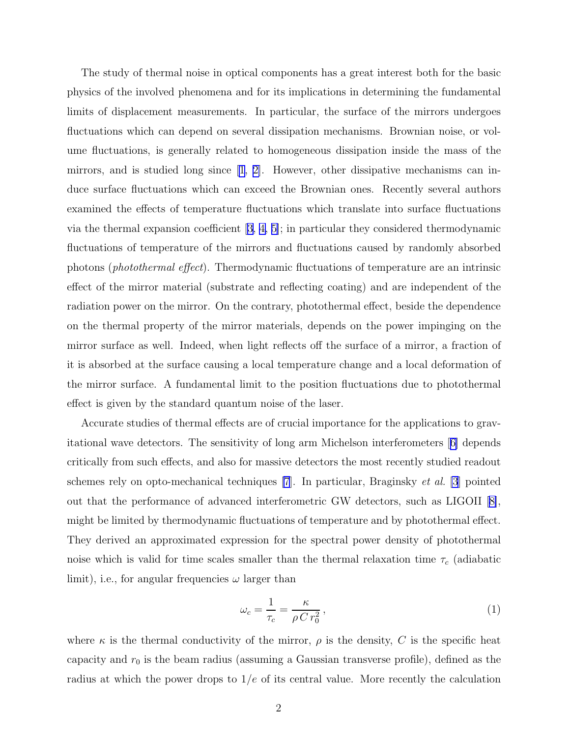<span id="page-1-0"></span>The study of thermal noise in optical components has a great interest both for the basic physics of the involved phenomena and for its implications in determining the fundamental limits of displacement measurements. In particular, the surface of the mirrors undergoes fluctuations which can depend on several dissipation mechanisms. Brownian noise, or volume fluctuations, is generally related to homogeneous dissipation inside the mass of the mirrors, and is studied long since  $[1, 2]$  $[1, 2]$ . However, other dissipative mechanisms can induce surface fluctuations which can exceed the Brownian ones. Recently several authors examined the effects of temperature fluctuations which translate into surface fluctuations via the thermal expansion coefficient  $[3, 4, 5]$ ; in particular they considered thermodynamic fluctuations of temperature of the mirrors and fluctuations caused by randomly absorbed photons (photothermal effect). Thermodynamic fluctuations of temperature are an intrinsic effect of the mirror material (substrate and reflecting coating) and are independent of the radiation power on the mirror. On the contrary, photothermal effect, beside the dependence on the thermal property of the mirror materials, depends on the power impinging on the mirror surface as well. Indeed, when light reflects off the surface of a mirror, a fraction of it is absorbed at the surface causing a local temperature change and a local deformation of the mirror surface. A fundamental limit to the position fluctuations due to photothermal effect is given by the standard quantum noise of the laser.

Accurate studies of thermal effects are of crucial importance for the applications to gravitational wave detectors. The sensitivity of long arm Michelson interferometers[[6\]](#page-9-0) depends critically from such effects, and also for massive detectors the most recently studied readout schemes rely on opto-mechanical techniques [\[7](#page-9-0)]. In particular, Braginsky et al. [\[3](#page-9-0)] pointed out that the performance of advanced interferometric GW detectors, such as LIGOII[[8\]](#page-9-0), might be limited by thermodynamic fluctuations of temperature and by photothermal effect. They derived an approximated expression for the spectral power density of photothermal noise which is valid for time scales smaller than the thermal relaxation time  $\tau_c$  (adiabatic limit), i.e., for angular frequencies  $\omega$  larger than

$$
\omega_c = \frac{1}{\tau_c} = \frac{\kappa}{\rho \, Cr_0^2},\tag{1}
$$

where  $\kappa$  is the thermal conductivity of the mirror,  $\rho$  is the density, C is the specific heat capacity and  $r_0$  is the beam radius (assuming a Gaussian transverse profile), defined as the radius at which the power drops to  $1/e$  of its central value. More recently the calculation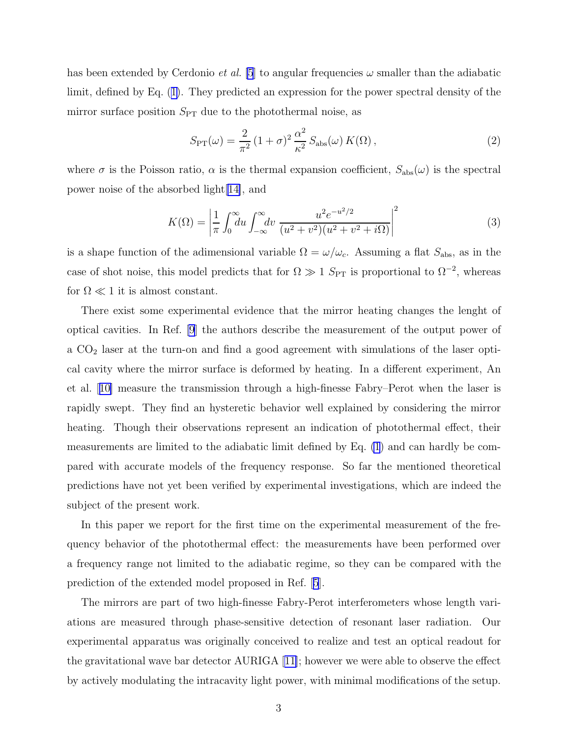<span id="page-2-0"></span>has been extended by Cerdonio *et al.* [\[5](#page-9-0)] to angular frequencies  $\omega$  smaller than the adiabatic limit, defined by Eq.([1\)](#page-1-0). They predicted an expression for the power spectral density of the mirror surface position  $S_{\text{PT}}$  due to the photothermal noise, as

$$
S_{\rm PT}(\omega) = \frac{2}{\pi^2} \left(1 + \sigma\right)^2 \frac{\alpha^2}{\kappa^2} S_{\rm abs}(\omega) K(\Omega) ,\qquad (2)
$$

where  $\sigma$  is the Poisson ratio,  $\alpha$  is the thermal expansion coefficient,  $S_{\text{abs}}(\omega)$  is the spectral power noise of the absorbed light[\[14\]](#page-9-0), and

$$
K(\Omega) = \left| \frac{1}{\pi} \int_0^\infty du \int_{-\infty}^\infty dv \, \frac{u^2 e^{-u^2/2}}{(u^2 + v^2)(u^2 + v^2 + i\Omega)} \right|^2 \tag{3}
$$

is a shape function of the adimensional variable  $\Omega = \omega/\omega_c$ . Assuming a flat  $S_{\text{abs}}$ , as in the case of shot noise, this model predicts that for  $\Omega \gg 1$  S<sub>PT</sub> is proportional to  $\Omega^{-2}$ , whereas for  $\Omega \ll 1$  it is almost constant.

There exist some experimental evidence that the mirror heating changes the lenght of optical cavities. In Ref. [\[9](#page-9-0)] the authors describe the measurement of the output power of a CO<sup>2</sup> laser at the turn-on and find a good agreement with simulations of the laser optical cavity where the mirror surface is deformed by heating. In a different experiment, An et al.[[10\]](#page-9-0) measure the transmission through a high-finesse Fabry–Perot when the laser is rapidly swept. They find an hysteretic behavior well explained by considering the mirror heating. Though their observations represent an indication of photothermal effect, their measurements are limited to the adiabatic limit defined by Eq. [\(1](#page-1-0)) and can hardly be compared with accurate models of the frequency response. So far the mentioned theoretical predictions have not yet been verified by experimental investigations, which are indeed the subject of the present work.

In this paper we report for the first time on the experimental measurement of the frequency behavior of the photothermal effect: the measurements have been performed over a frequency range not limited to the adiabatic regime, so they can be compared with the prediction of the extended model proposed in Ref.[[5](#page-9-0)].

The mirrors are part of two high-finesse Fabry-Perot interferometers whose length variations are measured through phase-sensitive detection of resonant laser radiation. Our experimental apparatus was originally conceived to realize and test an optical readout for the gravitational wave bar detector AURIGA[[11\]](#page-9-0); however we were able to observe the effect by actively modulating the intracavity light power, with minimal modifications of the setup.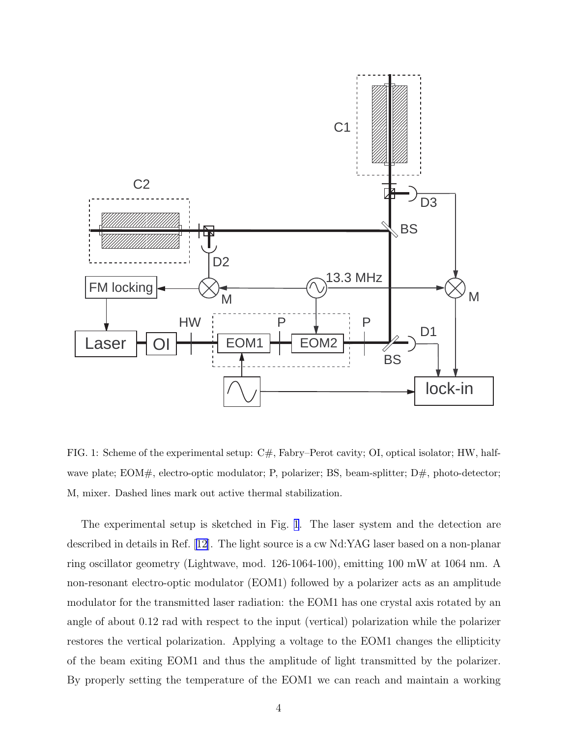<span id="page-3-0"></span>

FIG. 1: Scheme of the experimental setup: C#, Fabry–Perot cavity; OI, optical isolator; HW, halfwave plate; EOM#, electro-optic modulator; P, polarizer; BS, beam-splitter;  $D#$ , photo-detector; M, mixer. Dashed lines mark out active thermal stabilization.

The experimental setup is sketched in Fig. 1. The laser system and the detection are described in details in Ref. [\[12\]](#page-9-0). The light source is a cw Nd:YAG laser based on a non-planar ring oscillator geometry (Lightwave, mod. 126-1064-100), emitting 100 mW at 1064 nm. A non-resonant electro-optic modulator (EOM1) followed by a polarizer acts as an amplitude modulator for the transmitted laser radiation: the EOM1 has one crystal axis rotated by an angle of about 0.12 rad with respect to the input (vertical) polarization while the polarizer restores the vertical polarization. Applying a voltage to the EOM1 changes the ellipticity of the beam exiting EOM1 and thus the amplitude of light transmitted by the polarizer. By properly setting the temperature of the EOM1 we can reach and maintain a working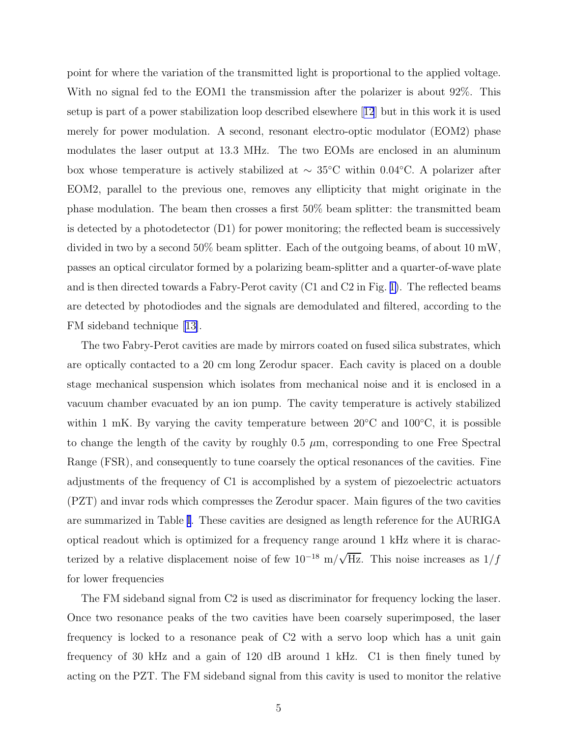point for where the variation of the transmitted light is proportional to the applied voltage. With no signal fed to the EOM1 the transmission after the polarizer is about 92%. This setup is part of a power stabilization loop described elsewhere[[12](#page-9-0)] but in this work it is used merely for power modulation. A second, resonant electro-optic modulator (EOM2) phase modulates the laser output at 13.3 MHz. The two EOMs are enclosed in an aluminum box whose temperature is actively stabilized at  $\sim 35^{\circ}$ C within 0.04°C. A polarizer after EOM2, parallel to the previous one, removes any ellipticity that might originate in the phase modulation. The beam then crosses a first 50% beam splitter: the transmitted beam is detected by a photodetector (D1) for power monitoring; the reflected beam is successively divided in two by a second 50% beam splitter. Each of the outgoing beams, of about 10 mW, passes an optical circulator formed by a polarizing beam-splitter and a quarter-of-wave plate and is then directed towards a Fabry-Perot cavity (C1 and C2 in Fig. [1\)](#page-3-0). The reflected beams are detected by photodiodes and the signals are demodulated and filtered, according to the FM sideband technique [\[13\]](#page-9-0).

The two Fabry-Perot cavities are made by mirrors coated on fused silica substrates, which are optically contacted to a 20 cm long Zerodur spacer. Each cavity is placed on a double stage mechanical suspension which isolates from mechanical noise and it is enclosed in a vacuum chamber evacuated by an ion pump. The cavity temperature is actively stabilized within 1 mK. By varying the cavity temperature between  $20^{\circ}$ C and  $100^{\circ}$ C, it is possible to change the length of the cavity by roughly  $0.5 \mu$ m, corresponding to one Free Spectral Range (FSR), and consequently to tune coarsely the optical resonances of the cavities. Fine adjustments of the frequency of C1 is accomplished by a system of piezoelectric actuators (PZT) and invar rods which compresses the Zerodur spacer. Main figures of the two cavities are summarized in Table [I](#page-5-0). These cavities are designed as length reference for the AURIGA optical readout which is optimized for a frequency range around 1 kHz where it is characterized by a relative displacement noise of few  $10^{-18}$  m/ $\sqrt{\text{Hz}}$ . This noise increases as  $1/f$ for lower frequencies

The FM sideband signal from C2 is used as discriminator for frequency locking the laser. Once two resonance peaks of the two cavities have been coarsely superimposed, the laser frequency is locked to a resonance peak of C2 with a servo loop which has a unit gain frequency of 30 kHz and a gain of 120 dB around 1 kHz. C1 is then finely tuned by acting on the PZT. The FM sideband signal from this cavity is used to monitor the relative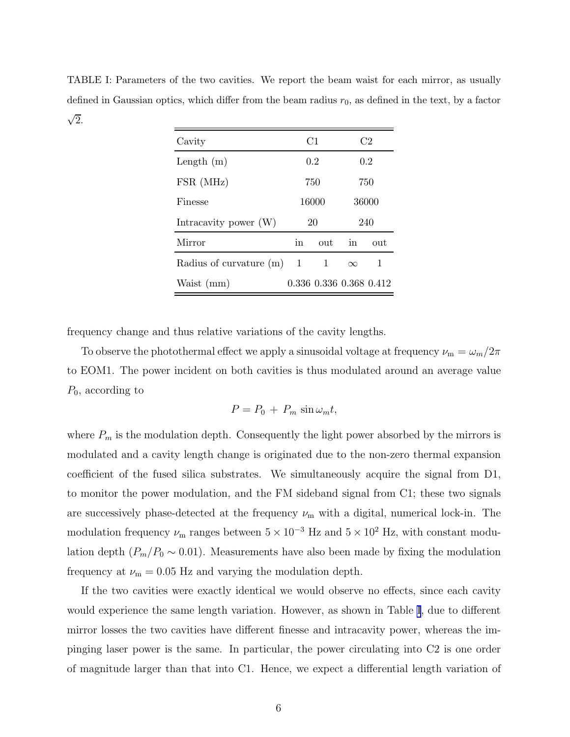<span id="page-5-0"></span>TABLE I: Parameters of the two cavities. We report the beam waist for each mirror, as usually defined in Gaussian optics, which differ from the beam radius  $r_0$ , as defined in the text, by a factor  $\sqrt{2}$ .

| Cavity                      | C1    |                         | C <sub>2</sub> |     |
|-----------------------------|-------|-------------------------|----------------|-----|
| Length $(m)$                | 0.2   |                         | 0.2            |     |
| FSR (MHz)                   | 750   |                         | 750            |     |
| Finesse                     | 16000 |                         | 36000          |     |
| Intracavity power $(W)$     | 20    |                         | 240            |     |
| Mirror                      | in    | out                     | in             | out |
| Radius of curvature $(m)$ 1 |       | 1                       | $\infty$       | 1   |
| Waist (mm)                  |       | 0.336 0.336 0.368 0.412 |                |     |

frequency change and thus relative variations of the cavity lengths.

To observe the photothermal effect we apply a sinusoidal voltage at frequency  $\nu_m = \omega_m/2\pi$ to EOM1. The power incident on both cavities is thus modulated around an average value  $P_0$ , according to

$$
P = P_0 + P_m \sin \omega_m t,
$$

where  $P_m$  is the modulation depth. Consequently the light power absorbed by the mirrors is modulated and a cavity length change is originated due to the non-zero thermal expansion coefficient of the fused silica substrates. We simultaneously acquire the signal from D1, to monitor the power modulation, and the FM sideband signal from C1; these two signals are successively phase-detected at the frequency  $\nu_{\rm m}$  with a digital, numerical lock-in. The modulation frequency  $\nu_{\rm m}$  ranges between  $5 \times 10^{-3}$  Hz and  $5 \times 10^{2}$  Hz, with constant modulation depth  $(P_m/P_0 \sim 0.01)$ . Measurements have also been made by fixing the modulation frequency at  $\nu_{\rm m} = 0.05$  Hz and varying the modulation depth.

If the two cavities were exactly identical we would observe no effects, since each cavity would experience the same length variation. However, as shown in Table I, due to different mirror losses the two cavities have different finesse and intracavity power, whereas the impinging laser power is the same. In particular, the power circulating into C2 is one order of magnitude larger than that into C1. Hence, we expect a differential length variation of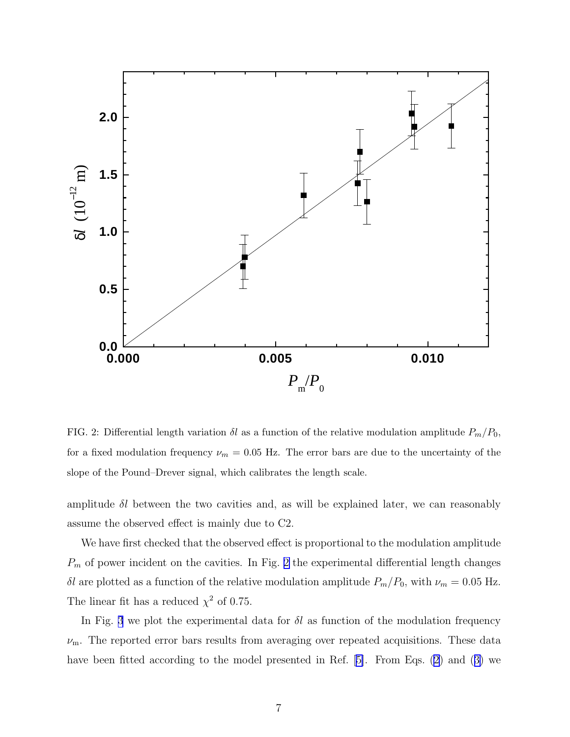

FIG. 2: Differential length variation  $\delta l$  as a function of the relative modulation amplitude  $P_m/P_0$ , for a fixed modulation frequency  $\nu_m = 0.05$  Hz. The error bars are due to the uncertainty of the slope of the Pound–Drever signal, which calibrates the length scale.

amplitude  $\delta l$  between the two cavities and, as will be explained later, we can reasonably assume the observed effect is mainly due to C2.

We have first checked that the observed effect is proportional to the modulation amplitude  $P_m$  of power incident on the cavities. In Fig. 2 the experimental differential length changes δl are plotted as a function of the relative modulation amplitude  $P_m/P_0$ , with  $\nu_m = 0.05$  Hz. The linear fit has a reduced  $\chi^2$  of 0.75.

In Fig. [3](#page-8-0) we plot the experimental data for  $\delta l$  as function of the modulation frequency  $\nu_{\rm m}$ . The reported error bars results from averaging over repeated acquisitions. These data havebeen fitted according to the model presented in Ref. [[5\]](#page-9-0). From Eqs. [\(2](#page-2-0)) and ([3\)](#page-2-0) we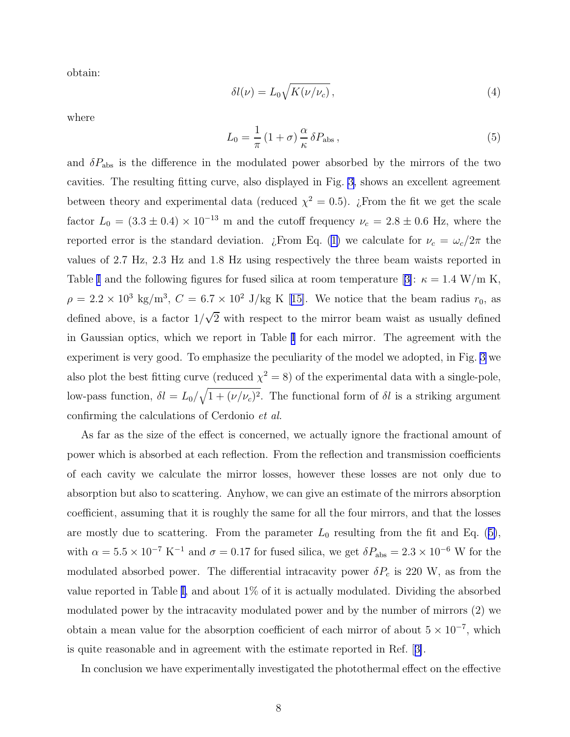<span id="page-7-0"></span>obtain:

$$
\delta l(\nu) = L_0 \sqrt{K(\nu/\nu_c)},\tag{4}
$$

where

$$
L_0 = \frac{1}{\pi} \left( 1 + \sigma \right) \frac{\alpha}{\kappa} \delta P_{\text{abs}} \,, \tag{5}
$$

and  $\delta P_{\rm abs}$  is the difference in the modulated power absorbed by the mirrors of the two cavities. The resulting fitting curve, also displayed in Fig. [3](#page-8-0), shows an excellent agreement between theory and experimental data (reduced  $\chi^2 = 0.5$ ). *i* From the fit we get the scale factor  $L_0 = (3.3 \pm 0.4) \times 10^{-13}$  m and the cutoff frequency  $\nu_c = 2.8 \pm 0.6$  Hz, where the reportederror is the standard deviation. ¿From Eq. ([1\)](#page-1-0) we calculate for  $\nu_c = \omega_c/2\pi$  the values of 2.7 Hz, 2.3 Hz and 1.8 Hz using respectively the three beam waists reported in Table [I](#page-5-0) and the following figures for fused silica at room temperature [[3\]](#page-9-0):  $\kappa = 1.4$  W/m K,  $\rho = 2.2 \times 10^3 \text{ kg/m}^3$  $\rho = 2.2 \times 10^3 \text{ kg/m}^3$  $\rho = 2.2 \times 10^3 \text{ kg/m}^3$ ,  $C = 6.7 \times 10^2 \text{ J/kg K}$  [[15\]](#page-9-0). We notice that the beam radius  $r_0$ , as defined above, is a factor  $1/\sqrt{2}$  with respect to the mirror beam waist as usually defined in Gaussian optics, which we report in Table [I](#page-5-0) for each mirror. The agreement with the experiment is very good. To emphasize the peculiarity of the model we adopted, in Fig. [3](#page-8-0) we also plot the best fitting curve (reduced  $\chi^2 = 8$ ) of the experimental data with a single-pole, low-pass function,  $\delta l = L_0/\sqrt{1 + (\nu/\nu_c)^2}$ . The functional form of  $\delta l$  is a striking argument confirming the calculations of Cerdonio et al.

As far as the size of the effect is concerned, we actually ignore the fractional amount of power which is absorbed at each reflection. From the reflection and transmission coefficients of each cavity we calculate the mirror losses, however these losses are not only due to absorption but also to scattering. Anyhow, we can give an estimate of the mirrors absorption coefficient, assuming that it is roughly the same for all the four mirrors, and that the losses are mostly due to scattering. From the parameter  $L_0$  resulting from the fit and Eq. (5), with  $\alpha = 5.5 \times 10^{-7} \text{ K}^{-1}$  and  $\sigma = 0.17$  for fused silica, we get  $\delta P_{\text{abs}} = 2.3 \times 10^{-6} \text{ W}$  for the modulated absorbed power. The differential intracavity power  $\delta P_c$  is 220 W, as from the value reported in Table [I,](#page-5-0) and about 1% of it is actually modulated. Dividing the absorbed modulated power by the intracavity modulated power and by the number of mirrors (2) we obtain a mean value for the absorption coefficient of each mirror of about  $5 \times 10^{-7}$ , which is quite reasonable and in agreement with the estimate reported in Ref.[[3\]](#page-9-0).

In conclusion we have experimentally investigated the photothermal effect on the effective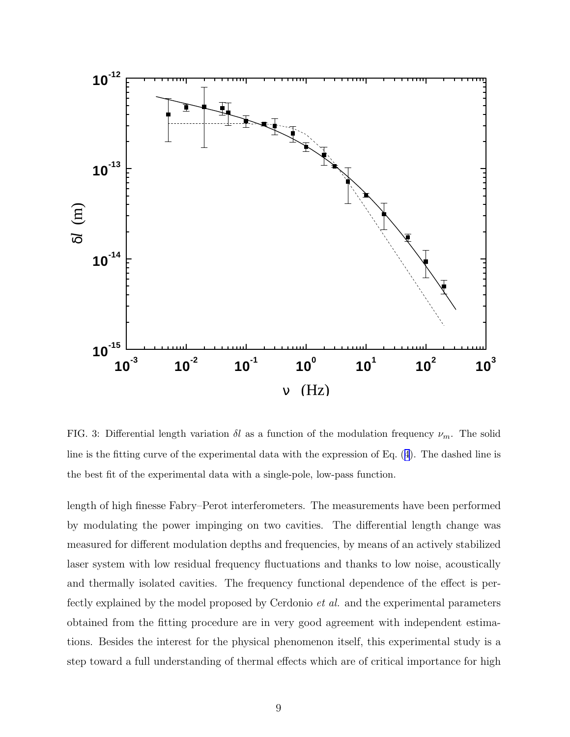<span id="page-8-0"></span>

FIG. 3: Differential length variation  $\delta l$  as a function of the modulation frequency  $\nu_m$ . The solid line is the fitting curve of the experimental data with the expression of Eq.([4](#page-7-0)). The dashed line is the best fit of the experimental data with a single-pole, low-pass function.

length of high finesse Fabry–Perot interferometers. The measurements have been performed by modulating the power impinging on two cavities. The differential length change was measured for different modulation depths and frequencies, by means of an actively stabilized laser system with low residual frequency fluctuations and thanks to low noise, acoustically and thermally isolated cavities. The frequency functional dependence of the effect is perfectly explained by the model proposed by Cerdonio et al. and the experimental parameters obtained from the fitting procedure are in very good agreement with independent estimations. Besides the interest for the physical phenomenon itself, this experimental study is a step toward a full understanding of thermal effects which are of critical importance for high